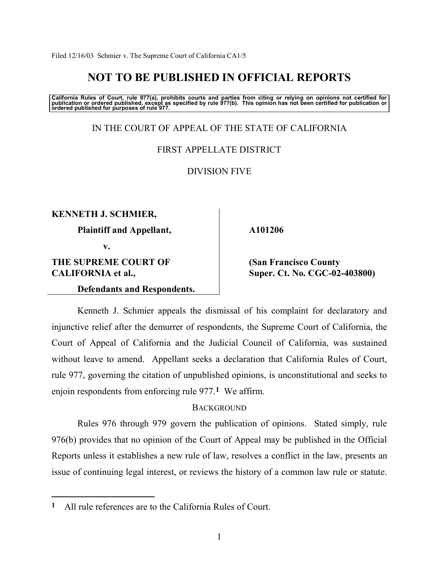# **NOT TO BE PUBLISHED IN OFFICIAL REPORTS**

California Rules of Court, rule 977(a), prohibits courts and parties from citing or relying on opinions not certified for<br>publication or ordered published, except as specified by rule 977(b). This opinion has not been cert

IN THE COURT OF APPEAL OF THE STATE OF CALIFORNIA

FIRST APPELLATE DISTRICT

DIVISION FIVE

**KENNETH J. SCHMIER,** 

 **Plaintiff and Appellant,** 

**v.** 

**THE SUPREME COURT OF CALIFORNIA et al.,** 

 $\overline{a}$ 

 **Defendants and Respondents.** 

## **A101206**

 **(San Francisco County Super. Ct. No. CGC-02-403800)** 

 Kenneth J. Schmier appeals the dismissal of his complaint for declaratory and injunctive relief after the demurrer of respondents, the Supreme Court of California, the Court of Appeal of California and the Judicial Council of California, was sustained without leave to amend. Appellant seeks a declaration that California Rules of Court, rule 977, governing the citation of unpublished opinions, is unconstitutional and seeks to enjoin respondents from enforcing rule 977.**1** We affirm.

# **BACKGROUND**

 Rules 976 through 979 govern the publication of opinions. Stated simply, rule 976(b) provides that no opinion of the Court of Appeal may be published in the Official Reports unless it establishes a new rule of law, resolves a conflict in the law, presents an issue of continuing legal interest, or reviews the history of a common law rule or statute.

**<sup>1</sup>** All rule references are to the California Rules of Court.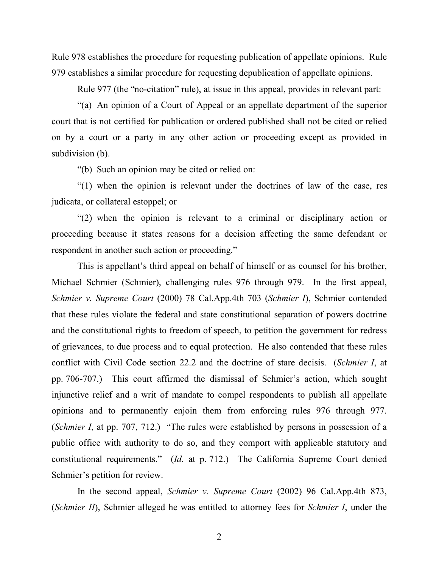Rule 978 establishes the procedure for requesting publication of appellate opinions. Rule 979 establishes a similar procedure for requesting depublication of appellate opinions.

Rule 977 (the "no-citation" rule), at issue in this appeal, provides in relevant part:

 ì(a) An opinion of a Court of Appeal or an appellate department of the superior court that is not certified for publication or ordered published shall not be cited or relied on by a court or a party in any other action or proceeding except as provided in subdivision (b).

ì(b) Such an opinion may be cited or relied on:

 $\degree$ (1) when the opinion is relevant under the doctrines of law of the case, res judicata, or collateral estoppel; or

 $\degree$ (2) when the opinion is relevant to a criminal or disciplinary action or proceeding because it states reasons for a decision affecting the same defendant or respondent in another such action or proceeding."

This is appellant's third appeal on behalf of himself or as counsel for his brother, Michael Schmier (Schmier), challenging rules 976 through 979. In the first appeal, *Schmier v. Supreme Court* (2000) 78 Cal.App.4th 703 (*Schmier I*), Schmier contended that these rules violate the federal and state constitutional separation of powers doctrine and the constitutional rights to freedom of speech, to petition the government for redress of grievances, to due process and to equal protection. He also contended that these rules conflict with Civil Code section 22.2 and the doctrine of stare decisis. (*Schmier I*, at pp. 706-707.) This court affirmed the dismissal of Schmier's action, which sought injunctive relief and a writ of mandate to compel respondents to publish all appellate opinions and to permanently enjoin them from enforcing rules 976 through 977. (*Schmier I*, at pp. 707, 712.) "The rules were established by persons in possession of a public office with authority to do so, and they comport with applicable statutory and constitutional requirements.<sup>"</sup> (*Id.* at p. 712.) The California Supreme Court denied Schmier's petition for review.

 In the second appeal, *Schmier v. Supreme Court* (2002) 96 Cal.App.4th 873, (*Schmier II*), Schmier alleged he was entitled to attorney fees for *Schmier I*, under the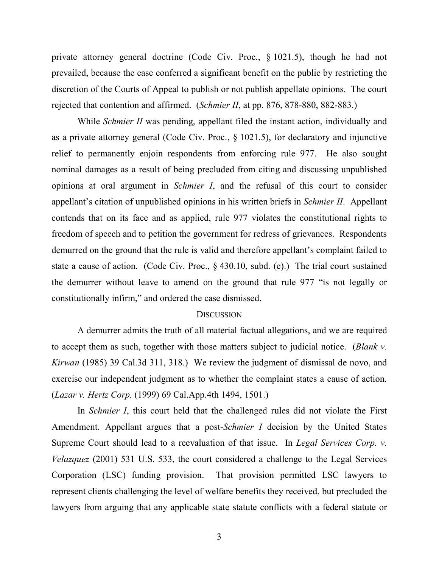private attorney general doctrine (Code Civ. Proc., ß 1021.5), though he had not prevailed, because the case conferred a significant benefit on the public by restricting the discretion of the Courts of Appeal to publish or not publish appellate opinions. The court rejected that contention and affirmed. (*Schmier II*, at pp. 876, 878-880, 882-883.)

While *Schmier II* was pending, appellant filed the instant action, individually and as a private attorney general (Code Civ. Proc., ß 1021.5), for declaratory and injunctive relief to permanently enjoin respondents from enforcing rule 977. He also sought nominal damages as a result of being precluded from citing and discussing unpublished opinions at oral argument in *Schmier I*, and the refusal of this court to consider appellant's citation of unpublished opinions in his written briefs in *Schmier II*. Appellant contends that on its face and as applied, rule 977 violates the constitutional rights to freedom of speech and to petition the government for redress of grievances. Respondents demurred on the ground that the rule is valid and therefore appellant's complaint failed to state a cause of action. (Code Civ. Proc., ß 430.10, subd. (e).) The trial court sustained the demurrer without leave to amend on the ground that rule 977 "is not legally or constitutionally infirm," and ordered the case dismissed.

#### **DISCUSSION**

A demurrer admits the truth of all material factual allegations, and we are required to accept them as such, together with those matters subject to judicial notice. (*Blank v. Kirwan* (1985) 39 Cal.3d 311, 318.) We review the judgment of dismissal de novo, and exercise our independent judgment as to whether the complaint states a cause of action. (*Lazar v. Hertz Corp.* (1999) 69 Cal.App.4th 1494, 1501.)

 In *Schmier I*, this court held that the challenged rules did not violate the First Amendment. Appellant argues that a post-*Schmier I* decision by the United States Supreme Court should lead to a reevaluation of that issue. In *Legal Services Corp. v. Velazquez* (2001) 531 U.S. 533, the court considered a challenge to the Legal Services Corporation (LSC) funding provision. That provision permitted LSC lawyers to represent clients challenging the level of welfare benefits they received, but precluded the lawyers from arguing that any applicable state statute conflicts with a federal statute or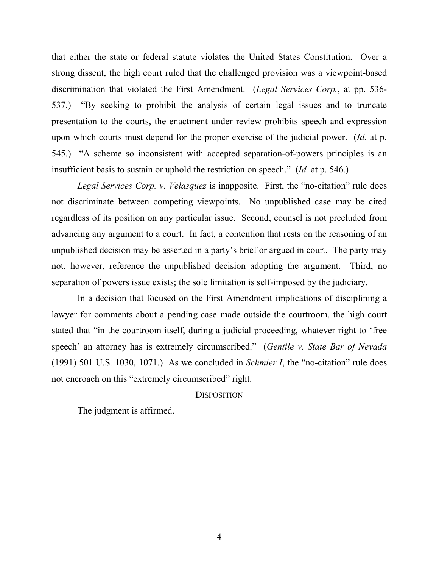that either the state or federal statute violates the United States Constitution. Over a strong dissent, the high court ruled that the challenged provision was a viewpoint-based discrimination that violated the First Amendment. (*Legal Services Corp.*, at pp. 536- 537.) "By seeking to prohibit the analysis of certain legal issues and to truncate presentation to the courts, the enactment under review prohibits speech and expression upon which courts must depend for the proper exercise of the judicial power. (*Id.* at p. 545.) "A scheme so inconsistent with accepted separation-of-powers principles is an insufficient basis to sustain or uphold the restriction on speech.<sup>3</sup> (*Id.* at p. 546.)

*Legal Services Corp. v. Velasquez* is inapposite. First, the "no-citation" rule does not discriminate between competing viewpoints. No unpublished case may be cited regardless of its position on any particular issue. Second, counsel is not precluded from advancing any argument to a court. In fact, a contention that rests on the reasoning of an unpublished decision may be asserted in a party's brief or argued in court. The party may not, however, reference the unpublished decision adopting the argument. Third, no separation of powers issue exists; the sole limitation is self-imposed by the judiciary.

 In a decision that focused on the First Amendment implications of disciplining a lawyer for comments about a pending case made outside the courtroom, the high court stated that "in the courtroom itself, during a judicial proceeding, whatever right to 'free speech<sup>3</sup> an attorney has is extremely circumscribed." (*Gentile v. State Bar of Nevada*)  $(1991)$  501 U.S. 1030, 1071.) As we concluded in *Schmier I*, the "no-citation" rule does not encroach on this "extremely circumscribed" right.

### **DISPOSITION**

The judgment is affirmed.